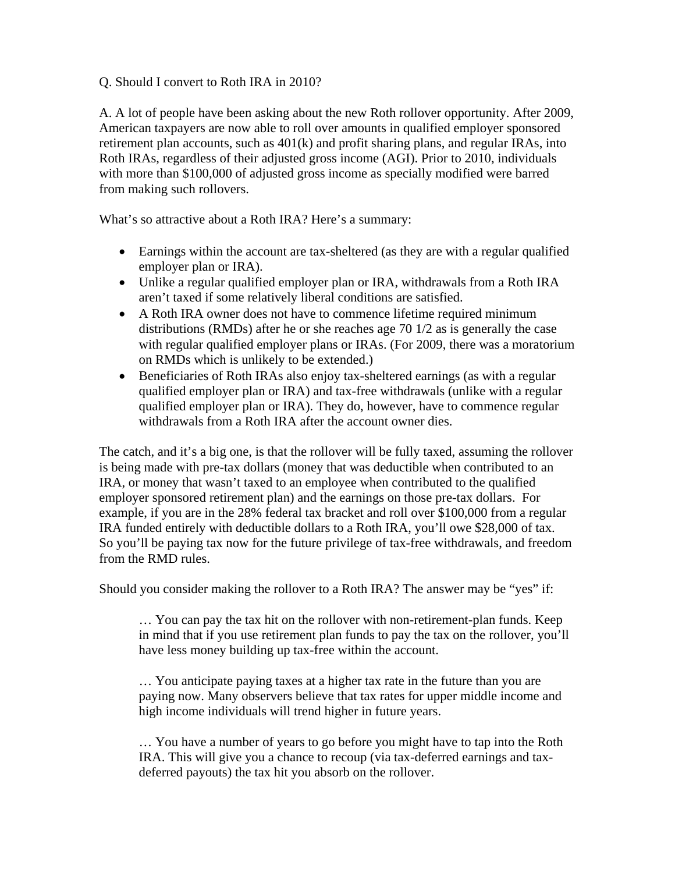## Q. Should I convert to Roth IRA in 2010?

A. A lot of people have been asking about the new Roth rollover opportunity. After 2009, American taxpayers are now able to roll over amounts in qualified employer sponsored retirement plan accounts, such as 401(k) and profit sharing plans, and regular IRAs, into Roth IRAs, regardless of their adjusted gross income (AGI). Prior to 2010, individuals with more than \$100,000 of adjusted gross income as specially modified were barred from making such rollovers.

What's so attractive about a Roth IRA? Here's a summary:

- Earnings within the account are tax-sheltered (as they are with a regular qualified employer plan or IRA).
- Unlike a regular qualified employer plan or IRA, withdrawals from a Roth IRA aren't taxed if some relatively liberal conditions are satisfied.
- A Roth IRA owner does not have to commence lifetime required minimum distributions (RMDs) after he or she reaches age 70 1/2 as is generally the case with regular qualified employer plans or IRAs. (For 2009, there was a moratorium on RMDs which is unlikely to be extended.)
- Beneficiaries of Roth IRAs also enjoy tax-sheltered earnings (as with a regular qualified employer plan or IRA) and tax-free withdrawals (unlike with a regular qualified employer plan or IRA). They do, however, have to commence regular withdrawals from a Roth IRA after the account owner dies.

The catch, and it's a big one, is that the rollover will be fully taxed, assuming the rollover is being made with pre-tax dollars (money that was deductible when contributed to an IRA, or money that wasn't taxed to an employee when contributed to the qualified employer sponsored retirement plan) and the earnings on those pre-tax dollars. For example, if you are in the 28% federal tax bracket and roll over \$100,000 from a regular IRA funded entirely with deductible dollars to a Roth IRA, you'll owe \$28,000 of tax. So you'll be paying tax now for the future privilege of tax-free withdrawals, and freedom from the RMD rules.

Should you consider making the rollover to a Roth IRA? The answer may be "yes" if:

… You can pay the tax hit on the rollover with non-retirement-plan funds. Keep in mind that if you use retirement plan funds to pay the tax on the rollover, you'll have less money building up tax-free within the account.

… You anticipate paying taxes at a higher tax rate in the future than you are paying now. Many observers believe that tax rates for upper middle income and high income individuals will trend higher in future years.

… You have a number of years to go before you might have to tap into the Roth IRA. This will give you a chance to recoup (via tax-deferred earnings and taxdeferred payouts) the tax hit you absorb on the rollover.